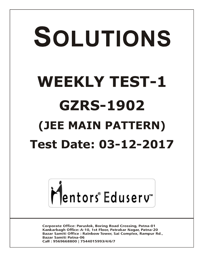# SOLUTIONS **WEEKLY TEST-1 GZRS-1902 (JEE MAIN PATTERN) Test Date: 03-12-2017**



**Corporate Office: Paruslok, Boring Road Crossing, Patna-01** Kankarbagh Office: A-10, 1st Floor, Patrakar Nagar, Patna-20 Bazar Samiti Office: Rainbow Tower, Sai Complex, Rampur Rd., **Bazar Samiti Patna-06** Call: 9569668800 | 7544015993/4/6/7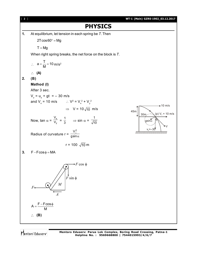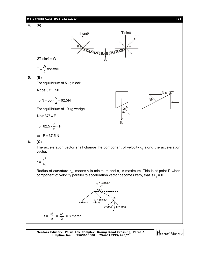

 $r = \frac{1}{a_n}$ 2 a v

vector.

Radius of curvature r<sub>min</sub> means v is minimum and  $\mathsf{a}_\mathsf{n}$  is maximum. This is at point P when component of velocity parallel to acceleration vector becomes zero, that is  $u_{\parallel} = 0$ .

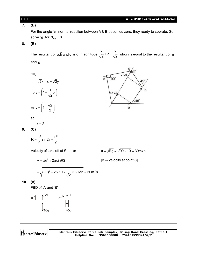**7. (B)**

For the angle ' $\theta$ ' normal reaction between A & B becomes zero, they ready to seprate. So, solve ' $\theta$ ' for  $N_{AB} = 0$ 

**8. (B)**

The resultant of  $\vec{a}$ ,  $\vec{b}$  and  $\vec{c}$  $\vec{a}, \vec{b}$  and  $\vec{c}$   $\,$  is of magnitude  $\,$  $\frac{x}{\sqrt{2}} + x + \frac{x}{\sqrt{2}}$  $\frac{x}{2}$  + x +  $\frac{x}{\sqrt{2}}$  whcih is equal to the resultant of  $\vec{d}$ and  $\ddot{\mathsf{e}}$  .

đ

 $90^\circ$ 

So,

 $\sqrt{2}x + x = \sqrt{2}y$ 

$$
\Rightarrow y = \left(1 + \frac{1}{\sqrt{2}}x\right)
$$

$$
\Rightarrow y = \left(1 + \frac{\sqrt{2}}{2}\right)
$$

 $\Rightarrow$  y = | 1 +  $\frac{\sqrt{2}}{2}$  |  $(2)$ 

2

so,

$$
k = 2
$$

**9. (C)**

$$
R = \frac{u^2}{g} \sin 2\theta = \frac{u^2}{g}
$$

Velocity of take off at *P* or  $u = \sqrt{Rg} = \sqrt{90 \times 10} = 30$  m/s

 $x/\sqrt{2}$ 

45

 $\vec{a}$ 

 $v = \sqrt{u^2 + 2gsin\theta S}$  $[v \rightarrow$  velocity at point *O*]

$$
= \sqrt{(30)^2 + 2 \times 10 \times \frac{1}{\sqrt{2}} \times 80\sqrt{2}} = 50 \text{ m/s}
$$

**10. (A)**

FBD of 'A' and 'B'

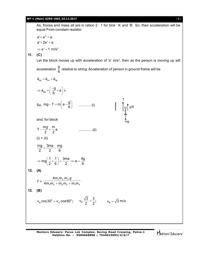#### **WT-1 (Main) GZRS-1902\_03.12.2017** [ **5** ]

As, froces and mass all are in ration 2 : 1 for blck ' A' and 'B'. So, their acceleration will be equal From constain realatio

a'+a" = a a'+2a' = a  $\Rightarrow$  a' = 1 m/s<sup>2</sup>

**11. (C)**

Let the block moves up with acceleration of 'a' m/s<sup>2</sup>, then as the person is moving up will

acceleration g  $\frac{3}{6}$  relative to string. Acceleration of person in ground frame will be

 $\vec{\mathbf{a}}_{\text{pg}} = \vec{\mathbf{a}}_{\text{ps}} + \vec{\mathbf{a}}_{\text{sg}}$  $\rightarrow$   $\rightarrow$   $\rightarrow$ pg  $a_{\rm{no}} = \left(\frac{-g}{2} + a\right)$  $\Rightarrow$  a<sub>pg</sub> =  $\left(\frac{-g}{6} + a\right)\downarrow$ So, mg – T = m $\left(a-\frac{g}{6}\right)$ 6  $-T = m\left(a - \frac{g}{6}\right)$  ............ (i) mg  $g$   $\int$  g/6 T and, for block  $T - \frac{mg}{2} = \frac{m}{2}a$ 2 2 ..............(ii)  $(i) + (ii)$ mg 3ma mg 2 2 6  $=\frac{3\pi}{2}-1$  $mg\left(\frac{1}{2} + \frac{1}{2}\right) = \frac{3ma}{2} \Rightarrow a = \frac{4g}{2}$  $\Rightarrow$  mg $\left(\frac{1}{2} + \frac{1}{6}\right) = \frac{3ma}{2} \Rightarrow a = \frac{4g}{9}$ **12. (A)**  $T = \frac{1}{4m_1m_2 + m_2m_3 + m_1m_3}$  $1''''2''''3$ 4 4  $m_1 m_2 + m_2 m_3 + m_1 m$  $m_1 m_2 m_3 g$  $+m_2m_3 +$ **13. (B)**  $v_{\rm B} \cos 30^{\rm o} = v_{\rm A} \cos 60^{\rm o}; \quad v_{\rm B} \frac{\sqrt{3}}{2} = \frac{3}{2}$  $\frac{v}{2} = \frac{3}{2}; \quad v_B = \sqrt{3} \text{ m/s}$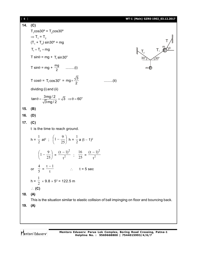#### [ **6** ] **WT-1 (Main) GZRS-1902\_03.12.2017 14. (C)**3. **(C)**  $T_1$ cos $30^\circ$  =  $T_2$ cos $30^\circ$  $\Rightarrow$  T<sub>1</sub> = T<sub>2</sub>  $(T_1 + T_2) \sin 30^\circ = mg$  $T_1 = T_2 = mg$  $30^{\circ}$   $\sim$  30°  $\theta$ m m (  $\mathsf{T}_2$  $\mathsf{T}_1$ T T sin $\theta$  = mg + T<sub>1</sub> sin30 $^{\circ}$ T sin $\theta$  = mg +  $\frac{mg}{2}$  .........(i) T cos $\theta$  = T<sub>1</sub>cos30° = mg $\times \frac{\sqrt{3}}{2}$ 2 .........(ii) dividing (i) and (ii)  $\tan \theta = \frac{3 \text{mg}/2}{\sqrt{2}} = \sqrt{3} \Rightarrow \theta = 60^{\circ}$ 3 mg / 2  $\theta = \frac{\sin \theta}{\sqrt{2}} = \sqrt{3} \Rightarrow \theta = 0$ **15. (B) 16. (D) 17. (C)** t is the time to reach ground.  $h = \frac{1}{2}$ 1 at<sup>2</sup>;  $|1-\frac{2}{25}|$ J  $\left(1-\frac{9}{25}\right)$  $\setminus$  $\Bigg(1-$ 25  $1 - \frac{9}{25}$  h =  $\frac{1}{2}$ a (t – 1) $^2$  $|1-\frac{2}{25}|$  $\bigg)$  $\left(1-\frac{9}{25}\right)$  $\setminus$  $\Bigg(1-$ 25  $\left(1-\frac{9}{25}\right) = \frac{(t-1)^2}{1^2}$ 2 t  $(t-1)$  $\frac{1}{25}$ 16  $=\frac{1}{2}$ 2 t  $(t-1)$ or  $\overline{5}$ 4  $=$   $\frac{1}{t}$  $t - 1$  $\therefore$  t = 5 sec  $h = \frac{1}{2}$ 1  $\times$  9.8  $\times$  5<sup>2</sup> = 122.5 m **(C) 18. (A)** This is the situation similar to elastic collision of ball impinging on floor and bouncing back. **19. (A)**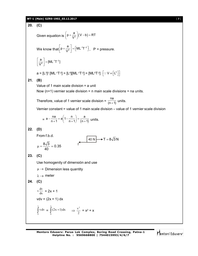#### **WT-1 (Main) GZRS-1902\_03.12.2017** [ **7** ]

**20. (C)** Given equation is  $\left(p + \frac{a}{V^2}\right)(V - b) = RT$  $\left(p+\frac{a}{V^2}\right)(V-b)=1$ We know that  $p + \frac{a}{\sqrt{2}} = \lfloor M L^{-1} T^{-2} \rfloor$  $\left[p + \frac{a}{V^2}\right] = \left[ML^{-1}T^{-2}\right]$ , P = pressure.  $\frac{1}{2}$  = [ML<sup>-1</sup>T<sup>-2</sup>  $\left[\frac{a}{V^2}\right]$  = [ML<sup>-1</sup>T<sup>-2</sup>]  $\left\lfloor \frac{a}{V^2} \right\rfloor = \left[ ML^{-1}T^{-2} \right]$  $a = [L^3]^2 [ML^{-1}T^{-2}] = [L^6][ML^{-1}T^{-2}] = [ML^5T^{-2}] \quad \left[ \because V \equiv \left[ L^3 \right] \right]$ **21. (B)** Value of 1 main scale division = a unit Now  $(n+1)$  vernier scale division = n main scale divisions = na units. Therefore, value of 1 vernier scale division =  $\frac{na}{(n+1)}$  $\frac{1}{(n+1)}$  units. Vernier constant = value of 1 main scale division – value of 1 vernier scale division  $= a - \frac{1}{n+1} = a \left( 1 - \frac{1}{n+1} \right) = \frac{1}{(n+1)}$  $a - \frac{na}{n+1} = a\left(1 - \frac{n}{n+1}\right) = \frac{a}{(n+1)}$  $-\frac{na}{n+1} = a\left(1 - \frac{n}{n+1}\right) = \frac{a}{(n+1)}$  units. **22. (D)** From f.b.d. 40 N  $\rightarrow$  T = 8√3 N f  $\frac{8\sqrt{3}}{10} \approx 0.35$ 40  $\mu = \frac{600}{10} \approx$ **23. (C)** Use homogenity of dimensión and use  $\mu \rightarrow$  Dimension less quantity  $\lambda \rightarrow$  meter **24. (C)** dx  $v \frac{dv}{dx} = 2x + 1$  $vdv = (2x + 1) dx$  $\int$ v  $\int_{0}^{x} v dv = \int_{0}^{x} (2x +$ x 0  $(2x+1)dx$   $\Rightarrow \frac{v}{2}$  $\frac{v^2}{2} = x^2 + x$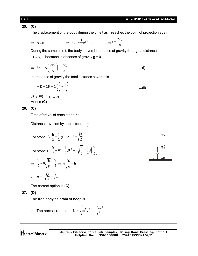The displacement of the body during the time t as it reaches the point of projection again

$$
\Rightarrow S = 0 \qquad \Rightarrow v_0 t - \frac{1}{2}gt^2 = 0 \qquad \Rightarrow t = \frac{2v_0}{g}
$$

During the same time t, the body moves in absence of gravity through a distance  ${\rm D}^\prime={\rm v}_0$ t , because in absence of gravity g = 0

$$
\Rightarrow D' = v_0 \left( \frac{2v_0}{g} \right) = \frac{2v_0^2}{g} \qquad \qquad \dots (i)
$$

 $\sqrt{1}$ 

In presence of gravity the total distance covered is

$$
= D = 2H = 2\frac{v_0^2}{2g} = \frac{v_0^2}{g}
$$
...(ii)

 $(i) \div (ii) \Rightarrow D' = 2D$ Hence **(C)**

### **26. (C)**

Time of travel of each stone = t

Distance travelled by each stone  $=\frac{2}{2}$  $=\frac{h}{2}$ 

For stone A, 
$$
\frac{h}{2} = \frac{1}{2}gt^2
$$
 i.e.,  $t = \sqrt{\frac{h}{g}}$   
For stone B,  $\frac{h}{2} = ut - \frac{1}{2}gt^2 = u\sqrt{\frac{h}{g}} - \frac{1}{2}g(\frac{h}{g})$ 

$$
\Rightarrow \frac{h}{2} = u \sqrt{\frac{h}{g}} - \frac{h}{2} \Rightarrow u \sqrt{\frac{h}{g}} = h
$$
  

$$
\therefore u = h \sqrt{\frac{g}{h}} = \sqrt{gh}
$$

The correct option is **(C)**

**27. (D)**

The free body daigram of hoop is



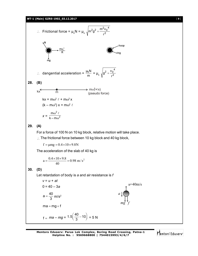**WT-1 (Main) GZRS-1902\_03.12.2017** [ **9** ]

 Frictional force = µkN = µ<sup>k</sup> <sup>2</sup> 4 0 2 2 2 r m v m g dangential acceleration = m µkN = µ<sup>k</sup> <sup>2</sup> 4 2 0 r v g **28. (B)** kx m m (+ x) <sup>2</sup> (pseudo force) kx = m<sup>2</sup> *+* m<sup>2</sup>x (k – m<sup>2</sup> ) x = m<sup>2</sup> *x =* <sup>2</sup> 2 k – m m **29. (A)** For a force of 100 N on 10 kg block, relative motion will take place. The frictional force between 10 kg block and 40 kg block, f mg 0.4109.8N The acceleration of the slab of 40 kg is 2 0.98 m/s 0.4 10 9.8 a

$$
a=\frac{}{40}=0.
$$

#### **30. (D)**

Let retardation of body is *a* and air resistance is *f*

v = u + at  
\n0 = 40 - 3a  
\n
$$
a = \frac{40}{3}
$$
 m/s<sup>2</sup>  
\nma = mg + f  
\nf = ma - mg = 1.5 $(\frac{40}{3} - 10)$  = 5 N

**Mentors Eduserv: Parus Lok Complex, Boring Road Crossing, Patna-1 Helpline No. : 9569668800 | 7544015993/4/6/7**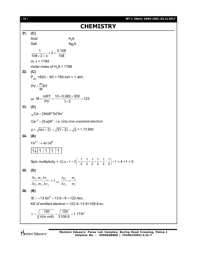| [10] | WT-1 (Main) GZRS-1902_03.12.2017                                                                                                                          |
|------|-----------------------------------------------------------------------------------------------------------------------------------------------------------|
|      | <b>CHEMISTRY</b>                                                                                                                                          |
| 31.  | (C)                                                                                                                                                       |
|      | Acid                                                                                                                                                      |
|      | $H_2A$<br>Ag <sub>2</sub> A<br>Salt                                                                                                                       |
|      | $\frac{1}{108 \times 2 + x} \times 2 = \frac{0.108}{108}$                                                                                                 |
|      | or, $x = 1784$                                                                                                                                            |
|      | molar mass of $H2A = 1786$                                                                                                                                |
| 32.  | (C)                                                                                                                                                       |
|      | $P_{gas}$ =820 – 60 = 760 torr = 1 atm                                                                                                                    |
|      | $PV = \frac{m}{M}RT$                                                                                                                                      |
|      | or $M = \frac{mRT}{PV} = \frac{10 \times 0.082 \times 300}{1 \times 2} = 123$                                                                             |
| 33.  | (D)                                                                                                                                                       |
|      | $_{58}$ Ce = [Xe]4f <sup>1</sup> 5d <sup>1</sup> 6s <sup>2</sup>                                                                                          |
|      | $Ce^{+3} = [Xe]4f^{1}$ , i.e. only one unpaired electron                                                                                                  |
|      | $\mu = \sqrt{n(n+2)} = \sqrt{1(1+2)} = \sqrt{3} = 1.73$ BM                                                                                                |
| 34.  | (B)                                                                                                                                                       |
|      | $Fe^{2+} \rightarrow 4s^{\circ}3d^6$                                                                                                                      |
|      |                                                                                                                                                           |
|      | Spin multiplicity = $2\Sigma s + 1 = 2\left(1 + \frac{1}{2} + \frac{1}{2} + \frac{1}{2} + \frac{1}{2} + \frac{1}{2} - \frac{1}{2}\right) + 1 = 4 + 1 = 5$ |
| 35.  | (D)                                                                                                                                                       |
|      | $\frac{\Delta x_e.m_e.\Delta v_e^-}{\Delta x_p.m_p.\Delta v_p} = 1 \Longrightarrow \frac{\Delta v_e}{\Delta v_p} = \frac{m_p}{m_e}$                       |
|      |                                                                                                                                                           |
| 36.  | (B)                                                                                                                                                       |
|      | $IE = +13.6z^2 = 13.6 \times 9 = 122.4ev$ ,                                                                                                               |
|      | KE of emitted electron = $122.4 - 13.6 = 108.8$ ev.                                                                                                       |
|      | $\lambda = \sqrt{\frac{150}{V(in volt)}} = \sqrt{\frac{150}{108.8}} = 1.17 A^{\circ}$                                                                     |
|      |                                                                                                                                                           |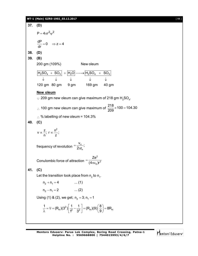#### **WT-1 (Main) GZRS-1902\_03.12.2017** [ **11** ]

**37. (D)**  $P = 4\pi r^2 \psi^2$  $\frac{dP}{dx} = 0 \implies z = 4$ dr  $= 0 \Rightarrow z = 4$ **38. (D) 39. (B)** 200 gm (109%) New oleum  $H_2SO_4 + SO_3 + |H_2O| \longrightarrow |H_2SO_4 + SO_3$ 120 gm 80 gm 9 gm 169 gm 40 gm  $\downarrow$   $\downarrow$   $\downarrow$   $\downarrow$ **New oleum**  $\cdot$  209 gm new oleum can give maximum of 218 gm H<sub>2</sub>SO<sub>4</sub>.  $\therefore$  100 gm new oleum can give maximum of  $\frac{218}{200} \times 100 = 104.30$ 209  $\times$ 100 = 1  $\therefore$  % labelling of new oleum = 104.3% **40. (C)**  $v \propto \frac{z}{2}$ ;  $r \propto \frac{n^2}{2}$ ; n z  $\propto$   $\stackrel{\scriptstyle -}{\scriptstyle -}$ ; r $\propto$  : frequency of revolution  $=\frac{v_n}{2\pi r_n}$  $\frac{V_{n}}{V_{n}}$  $2\pi r_{\scriptscriptstyle\rm n}$  $=$  $\pi$ Conulombic force of attraction 2  $\sigma$ )r<sup>2</sup> Ze  $(4\pi \varepsilon_{_{0}})$ ri  $=$  $\pi$ ε **41. (C)** Let the transition took place from  $\mathsf{n}_\mathsf{2}$  to  $\mathsf{n}_\mathsf{1}$ .  $n_2 + n_1 = 4$  ... (1)  $n_2 - n_1 = 2$  ... (2) Using (1) & (2), we get;  $n_2 = 3$ ;  $n_1 = 1$ 2  $\frac{1}{\lambda} = \overline{v} = (R_H)(3^2) \frac{1}{1^2} - \frac{1}{3^2} = (R_H)(9) \left(\frac{8}{9}\right) = 8R_H$  $1^2$   $3^2$   $\left[\begin{array}{cc} 0 & \cdots & \cdots & \cdots \end{array}\right]$  $\frac{1}{\lambda} = \overline{v} = (R_H)(3^2) \left[ \frac{1}{1^2} - \frac{1}{3^2} \right] = (R_H)(9) \left( \frac{8}{9} \right) = 8$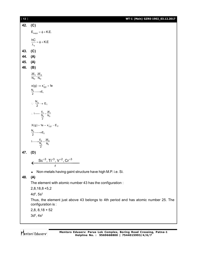| $[12]$ | WT-1 (Main) GZRS-1902_03.12.2017                                                                          |
|--------|-----------------------------------------------------------------------------------------------------------|
| 42.    | (C)                                                                                                       |
|        | $\begin{aligned} \mathsf{E}_{\mathsf{supp}} = \varphi + \mathsf{K}.\mathsf{E}. \end{aligned}$             |
|        | $\frac{hC}{\lambda_{s}} = \phi + K.E$                                                                     |
| 43.    | (C)                                                                                                       |
| 44.    | (A)                                                                                                       |
| 45.    | (A)                                                                                                       |
| 46.    | (B)                                                                                                       |
|        | $\frac{2E_1}{N_O}, \frac{2E_2}{N_O}$                                                                      |
|        | $x(g) \rightarrow x^+_{(g)} + 1e$<br>$\frac{N_0}{2} \rightarrow E_1$                                      |
|        | $\therefore \frac{N_o}{2} \rightarrow E_1$                                                                |
|        | $\therefore 1 \longrightarrow \frac{E_1}{\frac{N_0}{2}} = \frac{2E_1}{N_0}$                               |
|        | $X(g) + 1e - x_{(g)}^- - E_2$                                                                             |
|        | $\frac{N_0}{2} \rightarrow E_2$                                                                           |
|        | $1 \longrightarrow \frac{E_2}{\frac{N_0}{2}} = \frac{2E_2}{N_0}$                                          |
| 47.    | (D)                                                                                                       |
|        | $Sc^{+3}$ , Ti <sup>+3</sup> , V <sup>+2</sup> , Cr <sup>+3</sup>                                         |
|        | Non-metals having gaint structure have high M.P. i.e. Si.                                                 |
| 48.    | (A)                                                                                                       |
|        | The element with atomic number 43 has the configuration:                                                  |
|        | $2,8,18,8+5,2$                                                                                            |
|        | 4d <sup>5</sup> , 5s <sup>2</sup>                                                                         |
|        | Thus, the element just above 43 belongs to 4th period and has atomic number 25. The<br>configuration is : |
|        | $2,8,8,18+52$                                                                                             |
|        | $3d^5$ , $4s^2$                                                                                           |
|        |                                                                                                           |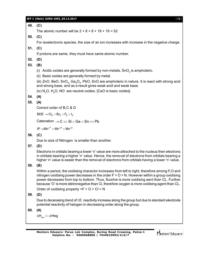#### **WT-1 (Main) GZRS-1902\_03.12.2017** [ **13** ]

### **49. (C)**

The atomic number will be  $2 + 8 + 8 + 18 + 16 = 52$ 

**50. (C)**

For isoelectronic species, the size of an ion increases with increase in the negative charge.

# **51. (C)**

If protons are same, they must have same atomic number.

# **52. (D)**

# **53. (B)**

(i)  $\,$  Acidic oxides are generally formed by non-metals, SnO $_2$  is amphoteric.

(ii) Basic oxides are generally formed by metal.

(iii) ZnO, BeO, SnO $_{\rm 2}$ , Ga $_{\rm 2}$ O $_{\rm 3}$ , PbO, SnO are amphoteric in nature. It is react with strong acid and strong base, and as a result gives weak acid and weak base.

(iv)  $N_2O$ ,  $H_2O$ ,  $NO$  are neutral oxides. [CaO is basic oxides]

**54. (A)**

# **55. (A)**

Correct order of B,C & D

 $BDE \rightarrow Cl_2 > Br_2 > F_2 > I_2$ 

Catenation  $\rightarrow$  C  $\gg$  Si  $>$  Ge = Sn  $\gg$  Pb

 $IP \rightarrow Mn^{+7} > Mn^{+4} > Mn^{+2}$ 

**56. (C)**

Due to size of Nitrogen is smaller than another.

# **57. (D)**

Electrons in orbitals bearing a lower 'n' value are more attrached to the nucleus then electrons in orbitals bearing a higher 'n' value. Hence, the removal of electrons from orbitals bearing a higher 'n' value is easier than the removal of electrons from orbitals having a lower 'n' value.

**58. (B)**

Within a period, the oxidising charactor increases from left to right, therefore among F,O and nitrogen oxidising power decreases in the order  $F > 0 > N$ . However within a group oxidising power decreases from top to bottom. Thus, fluorine is more oxidising aent than CL. Further because 'O' is more eletronegative than Cl, therefore oxygen is more oxidising agent than CL.

Order of oxidising property  $=F > 0 > Cl > N$ 

## **59. (D)**

Due to decerasing trend of I.E. reactivity increase along the group but due to standard electrode potential reactivity of halogen in decreasing order along the group.

$$
60. (A)
$$

 $\Delta H_{\text{ion}} = -\Delta H$ eg

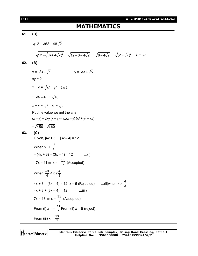| $[14]$ | WT-1 (Main) GZRS-1902_03.12.2017                                                                                               |
|--------|--------------------------------------------------------------------------------------------------------------------------------|
|        | <b>MATHEMATICS</b>                                                                                                             |
| 61.    | (B)                                                                                                                            |
|        | $\sqrt{12-\sqrt{68+48\sqrt{2}}}$                                                                                               |
|        | = $\sqrt{12-\sqrt{(6+4\sqrt{2})^2}}$ = $\sqrt{12-6-4\sqrt{2}}$ = $\sqrt{6-4\sqrt{2}}$ = $\sqrt{(2-\sqrt{2})^2}$ = $2-\sqrt{2}$ |
| 62.    | (B)                                                                                                                            |
|        | $x = \sqrt{3 - \sqrt{5}}$<br>$y = \sqrt{3 + \sqrt{5}}$                                                                         |
|        | $xy = 2$                                                                                                                       |
|        | $x + y = \sqrt{x^2 + y^2 + 2 \times 2}$                                                                                        |
|        | $=\sqrt{6+4} = \sqrt{10}$                                                                                                      |
|        | $x - y = \sqrt{6 - 4} = \sqrt{2}$                                                                                              |
|        | Put the value we get the ans.                                                                                                  |
|        | $(x - y) + 2xy(x + y) - xy(x - y)(x2 + y2 + xy)$                                                                               |
|        | $-\sqrt{450} + \sqrt{160}$                                                                                                     |
| 63.    | (C)                                                                                                                            |
|        | Given, $ 4x + 3  +  3x - 4  = 12$                                                                                              |
|        | When $x \leq \frac{-3}{4}$                                                                                                     |
|        | $-(4x + 3) - (3x - 4) = 12$<br>$\dots(i)$                                                                                      |
|        | $-7x = 11 \Rightarrow x = -\frac{11}{7}$ (Accepted)                                                                            |
|        | When $\frac{-3}{4} < x \leq \frac{4}{3}$                                                                                       |
|        | $4x + 3 - (3x - 4) = 12$ ; $x = 5$ (Rejected) (ii)when $x > \frac{4}{3}$                                                       |
|        | $4x + 3 + (3x - 4) = 12;$ (iii)                                                                                                |
|        | $7x = 13 \Rightarrow x = \frac{13}{7}$ (Accepted)                                                                              |
|        | From (i) $x = -\frac{11}{7}$ From (ii) $x = 5$ (reject)                                                                        |
|        | From (iii) $x = \frac{13}{7}$                                                                                                  |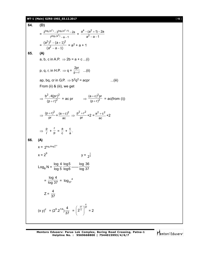#### **WT-1 (Main) GZRS-1902\_03.12.2017** [ **15** ]

64. **(D)**  
\n
$$
= \frac{2^{\log_2(a^4)} - 3^{\log_3(a^2+1)} - 2a}{7^{\log_7(a^2)} - a - 1} = \frac{a^4 - (a^2 + 1) - 2a}{a^2 - a - 1}
$$
\n
$$
= \frac{(a^2)^2 - (a + 1)^2}{(a^2 - a - 1)} = a^2 + a + 1
$$
\n65. **(A)**  
\na, b, c in A.P.  $\Rightarrow$  2b = a + c ...(i)  
\np, q, r, in H.P.  $\Rightarrow$  q =  $\frac{2pr}{p+r}$  ...(ii)  
\nap, bq, cr in G.P.  $\Rightarrow b^2q^2 = acpr$  ...(iii)  
\nFrom (ii) 8 (iii), we get  
\n
$$
\Rightarrow \frac{b^2 \cdot 4(pr)^2}{(p + r)^2} = ac pr \Rightarrow \frac{(a + c)^2pr}{(p + r)^2} = ac(from (i))
$$
\n
$$
\Rightarrow \frac{(p + r)^2}{pr} = \frac{(a + c)^2}{ac} \Rightarrow \frac{p^2 + r^2}{pr} + 2 = \frac{a^2 + c^2}{ac} + 2
$$
\n
$$
\Rightarrow \frac{p}{r} + \frac{r}{p} = \frac{a}{c} + \frac{c}{a}.
$$
\n66. **(A)**  
\n
$$
x = 2^{\log_2(8 \log_1^{10})}
$$
\n
$$
x = 2^8
$$
\n
$$
log_B N = \frac{\log_4 4}{\log_5 6} \frac{\log_3 6}{\log_6 6} \frac{\log_3 36}{\log_3 7}
$$
\n
$$
= \frac{\log_4 4}{\log_3 7} = \log_{37} \frac{4}{37} = \left(\frac{2^3}{2^4}\right)^{\frac{4}{37}} = 2
$$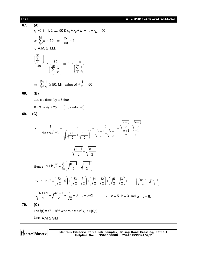[ **16** ] **WT-1 (Main) GZRS-1902\_03.12.2017 67. (A)**  $x_i > 0$ , i = 1, 2, ...., 50 &  $x_1 + x_2 + x_3 + ... + x_{50} = 50$ or  $\sum_{n=1}^{50}$  $\sum_{1}^{30} x_i = 50 \Rightarrow \frac{\sum x_i}{50} = 1$  $\therefore$  A.M.  $\geq$  H.M. 50 i 1 x 50  $\left(\sum_{1}^{50} x_i\right)$  $\geq \frac{5}{6}$  $\overline{1}$  <sup>x</sup>i 50 1  $\left(\sum_{1}^{50} \frac{1}{x_i}\right)$  $\Rightarrow$  1  $\geq \frac{5}{60}$  $\overline{1}$  ^i 50 1  $\left(\sum_{1}^{50} \frac{1}{x_i}\right)$  $\Rightarrow \sum^{50}$  $\frac{1}{1}$  x<sub>i</sub> 1  $\geq$  50, Min value of  $\frac{\Sigma-1}{\mathsf{x_i}}$  $\sum_{i=1}^{1}$  = 50 **68. (B)** Let  $x = 5\cos\theta, y = 5\sin\theta$  $0 < 3x + 4y \le 25$   $(:3x + 4y > 0)$ **69. (C)**  2 1 2 1 2 1 2 1 2 1 2 1 1 2 1 2 1 1 1 1  $\frac{n+1}{2-1}$   $\left(\sqrt{n+1} \sqrt{n-1}\right)^2$   $\left(\frac{n+1}{2} + \sqrt{n-1} \right)^2$   $\frac{n+1}{2} - \frac{n-1}{2}$  $\frac{+1}{2} - \sqrt{\frac{n-1}{2}}$  $=$  $\frac{+1}{2} + \sqrt{\frac{n-1}{2}}$  $=$  $\overline{\phantom{a}}$ J  $\setminus$  $\overline{\phantom{a}}$  $\setminus$  $\left(\sqrt{\frac{n+1}{2}}+\sqrt{\frac{n-1}{2}}\right)$  $=$  $\sqrt{1 + \sqrt{n^2 - 1}}$   $\sqrt{n+1}$   $\sqrt{n-1}$   $\sqrt{n+1}$   $\sqrt{n+1}$   $\sqrt{n-1}$   $\sqrt{n+1}$   $\sqrt{n+1}$  $n+1$  |*n*  $n + \sqrt{n^2 - 1}$   $\left( \sqrt{n+1} \sqrt{n-1} \right)^2$   $\sqrt{\frac{n+1}{n+1}} + \sqrt{\frac{n}{n+1}}$ 2 1 2  $=\sqrt{\frac{n+1}{2}-\sqrt{\frac{n-1}{2}}}$ Hence 49 n=1  $a + b\sqrt{2} = \sum_{n=1}^{49} \left( \sqrt{\frac{n+1}{n-1}} - \sqrt{\frac{n-1}{n-1}} \right)$  $\exists$ (V 2 V 2  $\left( \begin{array}{cc} |n+1| & |n-1| \end{array} \right)$  $+ b\sqrt{2} = \sum_{n=1}^{\infty} \left( \sqrt{\frac{n+1}{2}} - \sqrt{\frac{n-1}{2}} \right)$  $\Rightarrow$  a + b $\sqrt{2} = \left(\sqrt{\frac{2}{2}} - 0\right) + \left(\sqrt{\frac{3}{2}} - \sqrt{\frac{1}{2}}\right) + \left(\sqrt{\frac{4}{2}} - \sqrt{\frac{2}{2}}\right) + \left(\sqrt{\frac{5}{2}} - \sqrt{\frac{3}{2}}\right) + \dots$  $+ b\sqrt{2} = \left(\sqrt{\frac{2}{2}} - 0\right) + \left(\sqrt{\frac{3}{2}} - \sqrt{\frac{1}{2}}\right) + \left(\sqrt{\frac{4}{2}} - \sqrt{\frac{2}{2}}\right) + \left(\sqrt{\frac{5}{2}} - \sqrt{\frac{3}{2}}\right) + ...$  $(YZ \t)/(YZ YZ) (YZ YZ) (YZ YZ)$  $\cdots + \left(\sqrt{\frac{49+1}{2}} - \sqrt{\frac{49-1}{2}}\right)$  $+\left(\sqrt{\frac{49+1}{2}}-\sqrt{\frac{49-1}{2}}\right)$  $(VZ VZ)$  $=\sqrt{\frac{49+1}{2}}+\sqrt{\frac{48+1}{2}-\frac{1}{\sqrt{2}}}-0=5+3\sqrt{2}$ 2  $\sqrt{2}$  $\frac{+1}{2} + \sqrt{\frac{48+1}{2} - \frac{1}{\sqrt{2}}} - 0 = 5 + 3\sqrt{2}$   $\Rightarrow$  a = 5, b = 3 and a + b = 8. **70. (C)** Let f(t) =  $9^t + 9^{1-t}$  where t = sin<sup>2</sup>x, t  $\in [0,1]$ Use  $A.M. \ge G.M.$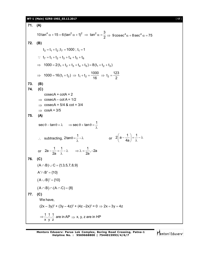#### **WT-1 (Main) GZRS-1902\_03.12.2017** [ **17** ]

71. (A)  
\n10 tan<sup>4</sup> α + 15 = 6(tan<sup>2</sup> α + 1)<sup>2</sup> ⇒ tan<sup>2</sup> α = 
$$
\frac{3}{2}
$$
 ⇒ 9 cosec<sup>4</sup> α + 8 sec<sup>4</sup> α = 75  
\n72. (B)  
\n $t_3 = t_1 + t_2$ ;  $t_7 = 1000$ ;  $t_1 = 1$   
\n $\therefore t_7 = t_1 + t_2 + t_3 + t_4 + t_5 + t_6$   
\n $\Rightarrow 1000 = 2(t_1 + t_2 + t_3 + t_4 + t_5) = 8(t_1 + t_2 + t_3)$   
\n $\Rightarrow 1000 = 16(t_1 + t_2) \Rightarrow t_1 + t_2 = \frac{1000}{16} \Rightarrow t_2 = \frac{123}{2}$   
\n73. (B)  
\n74. (C)  
\n $\text{cosecA} + \text{cotA} = 2$   
\n $\Rightarrow \text{cosecA} - \text{cotA} = 1/2$   
\n $\Rightarrow \text{cosecA} = 5/4$  &  $\text{cot} = 3/4$   
\n $\Rightarrow \text{cosA} = 3/5$   
\n75. (A)  
\n $\text{sec } \theta - \tan \theta = \lambda \Rightarrow \text{sec } \theta + \tan \theta = \frac{1}{\lambda}$   
\n $\therefore \text{ subtracting, } 2 \tan \theta = \frac{1}{\lambda} - \lambda \qquad \text{or} \qquad 2\left(a - \frac{1}{4a}\right) = \frac{1}{\lambda} - \lambda$   
\n $\text{or} \qquad 2a - \frac{1}{2a} = \frac{1}{\lambda} - \lambda \qquad \Rightarrow \lambda = \frac{1}{2a}, -2a$   
\n76. (C)  
\n(A ∩ B) ∪ C = {1,3,5,7,8,9}  
\nA' ∩ B' = {10}  
\n(A ∩ B) ∩ (A ∩ C) = {8}  
\n77. (C)  
\nWe have,  
\n $(2x - 3y)^2 + (3y - 4z)^2 + (4z - 2x)^2 = 0 \Rightarrow 2x = 3y = 4z$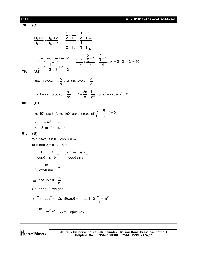| $[ 18 ]$ | WT-1 (Main) GZRS-1902_03.12.2017                                                                                                                                                                                       |
|----------|------------------------------------------------------------------------------------------------------------------------------------------------------------------------------------------------------------------------|
| 78.      | (C)                                                                                                                                                                                                                    |
|          | $\frac{H_1+2}{H_1-2}$ + $\frac{H_{20}+3}{H_{20}-3}$ = $\frac{\frac{1}{2} + \frac{1}{H_1}}{\frac{1}{2} + \frac{1}{H_2}}$ + $\frac{\frac{1}{3} + \frac{1}{H_{20}}}{\frac{1}{1} + \frac{1}{H_1}}$                         |
| 79.      | $=\frac{\frac{1}{2}+\frac{1}{2}+d}{\frac{1}{4}+\frac{1}{2}-d-\frac{1}{2}}+\frac{\frac{1}{3}+\frac{1}{3}-d}{\frac{1}{3}+d-\frac{1}{3}}=\frac{1+d}{-d}+\frac{\frac{2}{3}-d}{d}=\frac{\frac{2}{3}-1}{d}-2=2\times21-2=40$ |
|          | $\sin \alpha + \cos \alpha = -\frac{b}{a}$ and $\sin \alpha \cos \alpha = \frac{c}{a}$                                                                                                                                 |
|          | $\Rightarrow$ 1+2sin $\alpha$ cos $\alpha = \frac{b^2}{a^2}$ $\Rightarrow$ 1+ $\frac{2c}{a} = \frac{b^2}{a^2}$ $\Rightarrow$ $a^2 + 2ac - b^2 = 0$                                                                     |
| 80.      | (C)                                                                                                                                                                                                                    |
|          | sec 40°, sec 80°, sec 160° are the roots of $\frac{8}{13} - \frac{6}{1} + 1 = 0$                                                                                                                                       |
|          | $t^3 - 6t^2 + 8 = 0$<br>$\alpha$                                                                                                                                                                                       |
|          | Sum of roots $= 6$ .<br>$\mathcal{L}$                                                                                                                                                                                  |
| 81.      | (B)                                                                                                                                                                                                                    |
|          | We have, $sin \theta + cos \theta = m$                                                                                                                                                                                 |
|          | and sec $\theta$ + cosec $\theta$ = n                                                                                                                                                                                  |
|          | $\Rightarrow \frac{1}{\cos \theta} + \frac{1}{\sin \theta} = n \Rightarrow \frac{\sin \theta + \cos \theta}{\cos \theta \sin \theta} = n$                                                                              |
|          | $\frac{m}{\cos\theta\sin\theta} = n$                                                                                                                                                                                   |
|          | $\Rightarrow$ cos $\theta$ sin $\theta = \frac{m}{n}$                                                                                                                                                                  |
|          | Squaring (i), we get                                                                                                                                                                                                   |
|          | $\sin^2 \theta + \cos^2 \theta + 2 \sin \theta \cos \theta = m^2 \Rightarrow 1 + 2 \cdot \frac{m}{m} = m^2$                                                                                                            |
|          | $\Rightarrow \frac{2m}{n} = m^2 - 1 \Rightarrow 2m = n(m^2 - 1).$                                                                                                                                                      |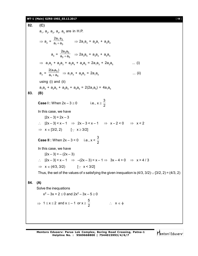#### **WT-1 (Main) GZRS-1902\_03.12.2017** [ **19** ]

82. (C)  
\na<sub>1</sub>, a<sub>2</sub>, a<sub>3</sub>, a<sub>4</sub>, a<sub>5</sub> are in H.P.  
\n⇒ a<sub>2</sub> = 
$$
\frac{2a_1a_3}{a_1+a_3}
$$
 ⇒ 2a<sub>1</sub>a<sub>3</sub> = a<sub>2</sub>a<sub>1</sub> + a<sub>3</sub>a<sub>2</sub>  
\na<sub>4</sub> =  $\frac{2a_3a_5}{a_3+a_5}$  ⇒ 2a<sub>3</sub>a<sub>5</sub> = a<sub>3</sub>a<sub>4</sub> + a<sub>3</sub>a<sub>4</sub>  
\n⇒ a<sub>1</sub>a<sub>2</sub> + a<sub>2</sub>a<sub>3</sub> + a<sub>3</sub>a<sub>4</sub> + a<sub>4</sub>a<sub>5</sub> = 2a<sub>1</sub>a<sub>3</sub> + 2a<sub>3</sub>a<sub>5</sub> .... (i)  
\na<sub>3</sub> =  $\frac{2(a_1a_5)}{a_1+a_5}$  ⇒ a<sub>1</sub>a<sub>3</sub> + a<sub>3</sub>a<sub>3</sub> = 2a<sub>1</sub>a<sub>3</sub> (i) .... (ii)  
\nusing (i) and (ii)  
\na<sub>1</sub>a<sub>2</sub> + a<sub>2</sub>a<sub>3</sub> + a<sub>3</sub>a<sub>4</sub> + a<sub>4</sub>a<sub>5</sub> = 2(2a<sub>1</sub>a<sub>3</sub>) = 4a<sub>1</sub>a<sub>5</sub>  
\n83. (B)  
\nCase 1: When 2x - 3 ≥ 0  
\nIn this case, we have  
\n
$$
|2x - 3| = 2x - 3
$$
\n $\therefore |2x - 3| < x - 1$  ⇒ 2x - 3 < x - 1 ⇒ x - 2 < 0 ⇒ x < 2  
\n⇒ x ∈ [3/2, 2] [∴ x ≥ 3/2]  
\nCase II: When 2x - 3 < 0 i.e., x  $\frac{3}{2}$   
\nIn this case, we have  
\n
$$
|2x - 3| < x - 1
$$
 ⇒ -(2x - 3) < x - 1 ⇒ 3x - 4 > 0 ⇒ x > 4/3  
\n⇒

**Mentors Eduserv: Parus Lok Complex, Boring Road Crossing, Patna-1 Helpline No. : 9569668800 | 7544015993/4/6/7**